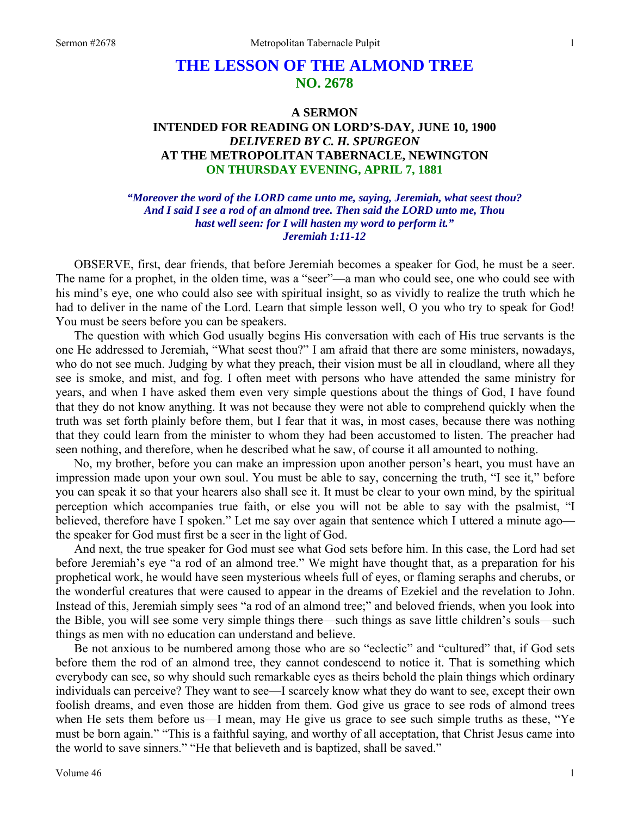# **THE LESSON OF THE ALMOND TREE NO. 2678**

## **A SERMON INTENDED FOR READING ON LORD'S-DAY, JUNE 10, 1900**  *DELIVERED BY C. H. SPURGEON*  **AT THE METROPOLITAN TABERNACLE, NEWINGTON ON THURSDAY EVENING, APRIL 7, 1881**

*"Moreover the word of the LORD came unto me, saying, Jeremiah, what seest thou? And I said I see a rod of an almond tree. Then said the LORD unto me, Thou hast well seen: for I will hasten my word to perform it." Jeremiah 1:11-12* 

OBSERVE, first, dear friends, that before Jeremiah becomes a speaker for God, he must be a seer. The name for a prophet, in the olden time, was a "seer"—a man who could see, one who could see with his mind's eye, one who could also see with spiritual insight, so as vividly to realize the truth which he had to deliver in the name of the Lord. Learn that simple lesson well, O you who try to speak for God! You must be seers before you can be speakers.

The question with which God usually begins His conversation with each of His true servants is the one He addressed to Jeremiah, "What seest thou?" I am afraid that there are some ministers, nowadays, who do not see much. Judging by what they preach, their vision must be all in cloudland, where all they see is smoke, and mist, and fog. I often meet with persons who have attended the same ministry for years, and when I have asked them even very simple questions about the things of God, I have found that they do not know anything. It was not because they were not able to comprehend quickly when the truth was set forth plainly before them, but I fear that it was, in most cases, because there was nothing that they could learn from the minister to whom they had been accustomed to listen. The preacher had seen nothing, and therefore, when he described what he saw, of course it all amounted to nothing.

No, my brother, before you can make an impression upon another person's heart, you must have an impression made upon your own soul. You must be able to say, concerning the truth, "I see it," before you can speak it so that your hearers also shall see it. It must be clear to your own mind, by the spiritual perception which accompanies true faith, or else you will not be able to say with the psalmist, "I believed, therefore have I spoken." Let me say over again that sentence which I uttered a minute ago the speaker for God must first be a seer in the light of God.

And next, the true speaker for God must see what God sets before him. In this case, the Lord had set before Jeremiah's eye "a rod of an almond tree." We might have thought that, as a preparation for his prophetical work, he would have seen mysterious wheels full of eyes, or flaming seraphs and cherubs, or the wonderful creatures that were caused to appear in the dreams of Ezekiel and the revelation to John. Instead of this, Jeremiah simply sees "a rod of an almond tree;" and beloved friends, when you look into the Bible, you will see some very simple things there—such things as save little children's souls—such things as men with no education can understand and believe.

Be not anxious to be numbered among those who are so "eclectic" and "cultured" that, if God sets before them the rod of an almond tree, they cannot condescend to notice it. That is something which everybody can see, so why should such remarkable eyes as theirs behold the plain things which ordinary individuals can perceive? They want to see—I scarcely know what they do want to see, except their own foolish dreams, and even those are hidden from them. God give us grace to see rods of almond trees when He sets them before us—I mean, may He give us grace to see such simple truths as these, "Ye must be born again." "This is a faithful saying, and worthy of all acceptation, that Christ Jesus came into the world to save sinners." "He that believeth and is baptized, shall be saved."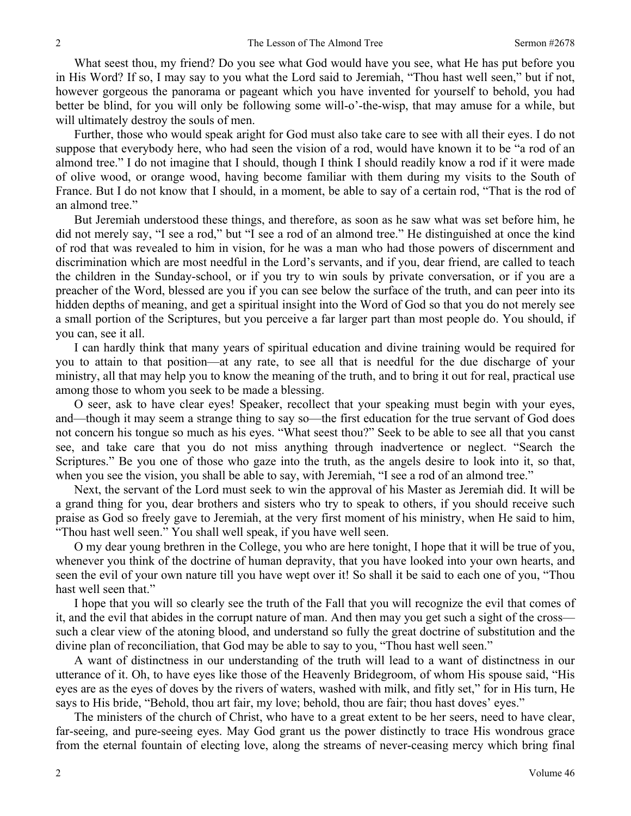What seest thou, my friend? Do you see what God would have you see, what He has put before you in His Word? If so, I may say to you what the Lord said to Jeremiah, "Thou hast well seen," but if not, however gorgeous the panorama or pageant which you have invented for yourself to behold, you had better be blind, for you will only be following some will-o'-the-wisp, that may amuse for a while, but will ultimately destroy the souls of men.

Further, those who would speak aright for God must also take care to see with all their eyes. I do not suppose that everybody here, who had seen the vision of a rod, would have known it to be "a rod of an almond tree." I do not imagine that I should, though I think I should readily know a rod if it were made of olive wood, or orange wood, having become familiar with them during my visits to the South of France. But I do not know that I should, in a moment, be able to say of a certain rod, "That is the rod of an almond tree."

But Jeremiah understood these things, and therefore, as soon as he saw what was set before him, he did not merely say, "I see a rod," but "I see a rod of an almond tree." He distinguished at once the kind of rod that was revealed to him in vision, for he was a man who had those powers of discernment and discrimination which are most needful in the Lord's servants, and if you, dear friend, are called to teach the children in the Sunday-school, or if you try to win souls by private conversation, or if you are a preacher of the Word, blessed are you if you can see below the surface of the truth, and can peer into its hidden depths of meaning, and get a spiritual insight into the Word of God so that you do not merely see a small portion of the Scriptures, but you perceive a far larger part than most people do. You should, if you can, see it all.

I can hardly think that many years of spiritual education and divine training would be required for you to attain to that position—at any rate, to see all that is needful for the due discharge of your ministry, all that may help you to know the meaning of the truth, and to bring it out for real, practical use among those to whom you seek to be made a blessing.

O seer, ask to have clear eyes! Speaker, recollect that your speaking must begin with your eyes, and—though it may seem a strange thing to say so—the first education for the true servant of God does not concern his tongue so much as his eyes. "What seest thou?" Seek to be able to see all that you canst see, and take care that you do not miss anything through inadvertence or neglect. "Search the Scriptures." Be you one of those who gaze into the truth, as the angels desire to look into it, so that, when you see the vision, you shall be able to say, with Jeremiah, "I see a rod of an almond tree."

Next, the servant of the Lord must seek to win the approval of his Master as Jeremiah did. It will be a grand thing for you, dear brothers and sisters who try to speak to others, if you should receive such praise as God so freely gave to Jeremiah, at the very first moment of his ministry, when He said to him, "Thou hast well seen." You shall well speak, if you have well seen.

O my dear young brethren in the College, you who are here tonight, I hope that it will be true of you, whenever you think of the doctrine of human depravity, that you have looked into your own hearts, and seen the evil of your own nature till you have wept over it! So shall it be said to each one of you, "Thou hast well seen that."

I hope that you will so clearly see the truth of the Fall that you will recognize the evil that comes of it, and the evil that abides in the corrupt nature of man. And then may you get such a sight of the cross such a clear view of the atoning blood, and understand so fully the great doctrine of substitution and the divine plan of reconciliation, that God may be able to say to you, "Thou hast well seen."

A want of distinctness in our understanding of the truth will lead to a want of distinctness in our utterance of it. Oh, to have eyes like those of the Heavenly Bridegroom, of whom His spouse said, "His eyes are as the eyes of doves by the rivers of waters, washed with milk, and fitly set," for in His turn, He says to His bride, "Behold, thou art fair, my love; behold, thou are fair; thou hast doves' eyes."

The ministers of the church of Christ, who have to a great extent to be her seers, need to have clear, far-seeing, and pure-seeing eyes. May God grant us the power distinctly to trace His wondrous grace from the eternal fountain of electing love, along the streams of never-ceasing mercy which bring final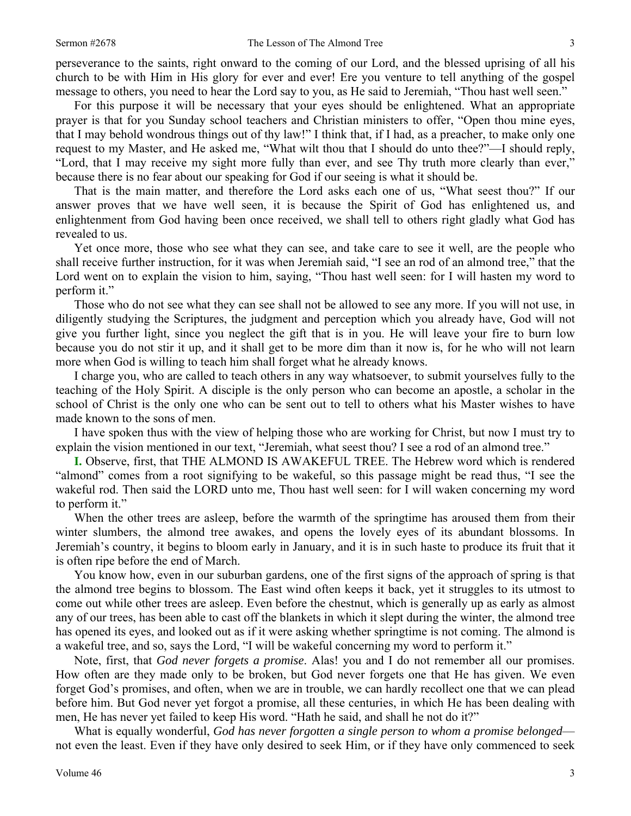perseverance to the saints, right onward to the coming of our Lord, and the blessed uprising of all his church to be with Him in His glory for ever and ever! Ere you venture to tell anything of the gospel message to others, you need to hear the Lord say to you, as He said to Jeremiah, "Thou hast well seen."

For this purpose it will be necessary that your eyes should be enlightened. What an appropriate prayer is that for you Sunday school teachers and Christian ministers to offer, "Open thou mine eyes, that I may behold wondrous things out of thy law!" I think that, if I had, as a preacher, to make only one request to my Master, and He asked me, "What wilt thou that I should do unto thee?"—I should reply, "Lord, that I may receive my sight more fully than ever, and see Thy truth more clearly than ever," because there is no fear about our speaking for God if our seeing is what it should be.

That is the main matter, and therefore the Lord asks each one of us, "What seest thou?" If our answer proves that we have well seen, it is because the Spirit of God has enlightened us, and enlightenment from God having been once received, we shall tell to others right gladly what God has revealed to us.

Yet once more, those who see what they can see, and take care to see it well, are the people who shall receive further instruction, for it was when Jeremiah said, "I see an rod of an almond tree," that the Lord went on to explain the vision to him, saying, "Thou hast well seen: for I will hasten my word to perform it."

Those who do not see what they can see shall not be allowed to see any more. If you will not use, in diligently studying the Scriptures, the judgment and perception which you already have, God will not give you further light, since you neglect the gift that is in you. He will leave your fire to burn low because you do not stir it up, and it shall get to be more dim than it now is, for he who will not learn more when God is willing to teach him shall forget what he already knows.

I charge you, who are called to teach others in any way whatsoever, to submit yourselves fully to the teaching of the Holy Spirit. A disciple is the only person who can become an apostle, a scholar in the school of Christ is the only one who can be sent out to tell to others what his Master wishes to have made known to the sons of men.

I have spoken thus with the view of helping those who are working for Christ, but now I must try to explain the vision mentioned in our text, "Jeremiah, what seest thou? I see a rod of an almond tree."

**I.** Observe, first, that THE ALMOND IS AWAKEFUL TREE. The Hebrew word which is rendered "almond" comes from a root signifying to be wakeful, so this passage might be read thus, "I see the wakeful rod. Then said the LORD unto me, Thou hast well seen: for I will waken concerning my word to perform it."

When the other trees are asleep, before the warmth of the springtime has aroused them from their winter slumbers, the almond tree awakes, and opens the lovely eyes of its abundant blossoms. In Jeremiah's country, it begins to bloom early in January, and it is in such haste to produce its fruit that it is often ripe before the end of March.

You know how, even in our suburban gardens, one of the first signs of the approach of spring is that the almond tree begins to blossom. The East wind often keeps it back, yet it struggles to its utmost to come out while other trees are asleep. Even before the chestnut, which is generally up as early as almost any of our trees, has been able to cast off the blankets in which it slept during the winter, the almond tree has opened its eyes, and looked out as if it were asking whether springtime is not coming. The almond is a wakeful tree, and so, says the Lord, "I will be wakeful concerning my word to perform it."

Note, first, that *God never forgets a promise*. Alas! you and I do not remember all our promises. How often are they made only to be broken, but God never forgets one that He has given. We even forget God's promises, and often, when we are in trouble, we can hardly recollect one that we can plead before him. But God never yet forgot a promise, all these centuries, in which He has been dealing with men, He has never yet failed to keep His word. "Hath he said, and shall he not do it?"

What is equally wonderful, *God has never forgotten a single person to whom a promise belonged* not even the least. Even if they have only desired to seek Him, or if they have only commenced to seek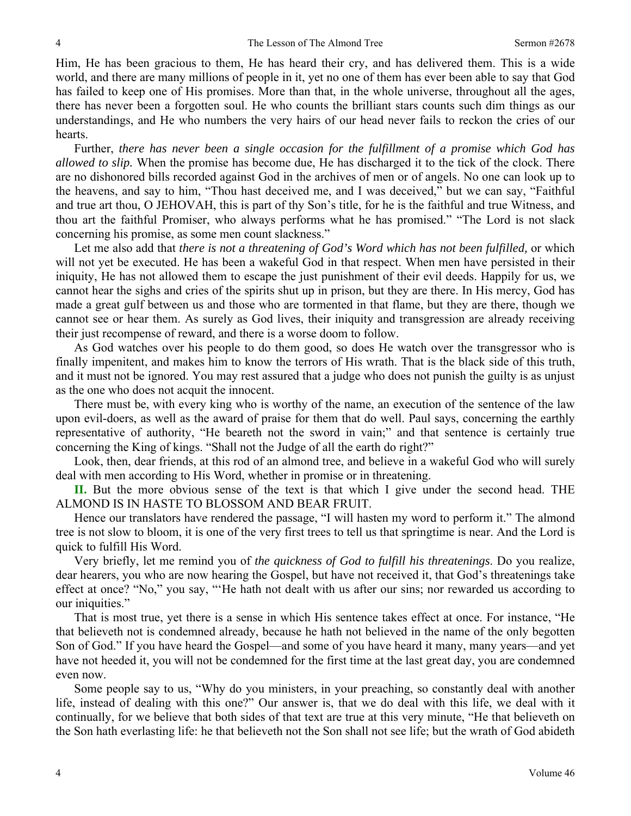Him, He has been gracious to them, He has heard their cry, and has delivered them. This is a wide world, and there are many millions of people in it, yet no one of them has ever been able to say that God has failed to keep one of His promises. More than that, in the whole universe, throughout all the ages, there has never been a forgotten soul. He who counts the brilliant stars counts such dim things as our understandings, and He who numbers the very hairs of our head never fails to reckon the cries of our hearts.

Further, *there has never been a single occasion for the fulfillment of a promise which God has allowed to slip.* When the promise has become due, He has discharged it to the tick of the clock. There are no dishonored bills recorded against God in the archives of men or of angels. No one can look up to the heavens, and say to him, "Thou hast deceived me, and I was deceived," but we can say, "Faithful and true art thou, O JEHOVAH, this is part of thy Son's title, for he is the faithful and true Witness, and thou art the faithful Promiser, who always performs what he has promised." "The Lord is not slack concerning his promise, as some men count slackness."

Let me also add that *there is not a threatening of God's Word which has not been fulfilled,* or which will not yet be executed. He has been a wakeful God in that respect. When men have persisted in their iniquity, He has not allowed them to escape the just punishment of their evil deeds. Happily for us, we cannot hear the sighs and cries of the spirits shut up in prison, but they are there. In His mercy, God has made a great gulf between us and those who are tormented in that flame, but they are there, though we cannot see or hear them. As surely as God lives, their iniquity and transgression are already receiving their just recompense of reward, and there is a worse doom to follow.

As God watches over his people to do them good, so does He watch over the transgressor who is finally impenitent, and makes him to know the terrors of His wrath. That is the black side of this truth, and it must not be ignored. You may rest assured that a judge who does not punish the guilty is as unjust as the one who does not acquit the innocent.

There must be, with every king who is worthy of the name, an execution of the sentence of the law upon evil-doers, as well as the award of praise for them that do well. Paul says, concerning the earthly representative of authority, "He beareth not the sword in vain;" and that sentence is certainly true concerning the King of kings. "Shall not the Judge of all the earth do right?"

Look, then, dear friends, at this rod of an almond tree, and believe in a wakeful God who will surely deal with men according to His Word, whether in promise or in threatening.

**II.** But the more obvious sense of the text is that which I give under the second head. THE ALMOND IS IN HASTE TO BLOSSOM AND BEAR FRUIT.

Hence our translators have rendered the passage, "I will hasten my word to perform it." The almond tree is not slow to bloom, it is one of the very first trees to tell us that springtime is near. And the Lord is quick to fulfill His Word.

Very briefly, let me remind you of *the quickness of God to fulfill his threatenings*. Do you realize, dear hearers, you who are now hearing the Gospel, but have not received it, that God's threatenings take effect at once? "No," you say, "'He hath not dealt with us after our sins; nor rewarded us according to our iniquities."

That is most true, yet there is a sense in which His sentence takes effect at once. For instance, "He that believeth not is condemned already, because he hath not believed in the name of the only begotten Son of God." If you have heard the Gospel—and some of you have heard it many, many years—and yet have not heeded it, you will not be condemned for the first time at the last great day, you are condemned even now.

Some people say to us, "Why do you ministers, in your preaching, so constantly deal with another life, instead of dealing with this one?" Our answer is, that we do deal with this life, we deal with it continually, for we believe that both sides of that text are true at this very minute, "He that believeth on the Son hath everlasting life: he that believeth not the Son shall not see life; but the wrath of God abideth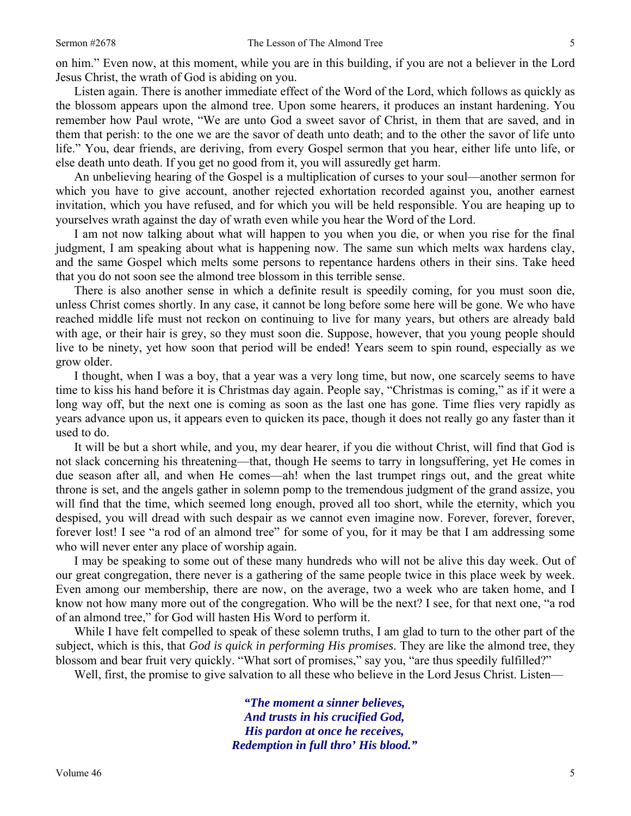on him." Even now, at this moment, while you are in this building, if you are not a believer in the Lord Jesus Christ, the wrath of God is abiding on you.

Listen again. There is another immediate effect of the Word of the Lord, which follows as quickly as the blossom appears upon the almond tree. Upon some hearers, it produces an instant hardening. You remember how Paul wrote, "We are unto God a sweet savor of Christ, in them that are saved, and in them that perish: to the one we are the savor of death unto death; and to the other the savor of life unto life." You, dear friends, are deriving, from every Gospel sermon that you hear, either life unto life, or else death unto death. If you get no good from it, you will assuredly get harm.

An unbelieving hearing of the Gospel is a multiplication of curses to your soul—another sermon for which you have to give account, another rejected exhortation recorded against you, another earnest invitation, which you have refused, and for which you will be held responsible. You are heaping up to yourselves wrath against the day of wrath even while you hear the Word of the Lord.

I am not now talking about what will happen to you when you die, or when you rise for the final judgment, I am speaking about what is happening now. The same sun which melts wax hardens clay, and the same Gospel which melts some persons to repentance hardens others in their sins. Take heed that you do not soon see the almond tree blossom in this terrible sense.

There is also another sense in which a definite result is speedily coming, for you must soon die, unless Christ comes shortly. In any case, it cannot be long before some here will be gone. We who have reached middle life must not reckon on continuing to live for many years, but others are already bald with age, or their hair is grey, so they must soon die. Suppose, however, that you young people should live to be ninety, yet how soon that period will be ended! Years seem to spin round, especially as we grow older.

I thought, when I was a boy, that a year was a very long time, but now, one scarcely seems to have time to kiss his hand before it is Christmas day again. People say, "Christmas is coming," as if it were a long way off, but the next one is coming as soon as the last one has gone. Time flies very rapidly as years advance upon us, it appears even to quicken its pace, though it does not really go any faster than it used to do.

It will be but a short while, and you, my dear hearer, if you die without Christ, will find that God is not slack concerning his threatening—that, though He seems to tarry in longsuffering, yet He comes in due season after all, and when He comes—ah! when the last trumpet rings out, and the great white throne is set, and the angels gather in solemn pomp to the tremendous judgment of the grand assize, you will find that the time, which seemed long enough, proved all too short, while the eternity, which you despised, you will dread with such despair as we cannot even imagine now. Forever, forever, forever, forever lost! I see "a rod of an almond tree" for some of you, for it may be that I am addressing some who will never enter any place of worship again.

I may be speaking to some out of these many hundreds who will not be alive this day week. Out of our great congregation, there never is a gathering of the same people twice in this place week by week. Even among our membership, there are now, on the average, two a week who are taken home, and I know not how many more out of the congregation. Who will be the next? I see, for that next one, "a rod of an almond tree," for God will hasten His Word to perform it.

While I have felt compelled to speak of these solemn truths, I am glad to turn to the other part of the subject, which is this, that *God is quick in performing His promises*. They are like the almond tree, they blossom and bear fruit very quickly. "What sort of promises," say you, "are thus speedily fulfilled?"

Well, first, the promise to give salvation to all these who believe in the Lord Jesus Christ. Listen—

*"The moment a sinner believes, And trusts in his crucified God, His pardon at once he receives, Redemption in full thro' His blood."*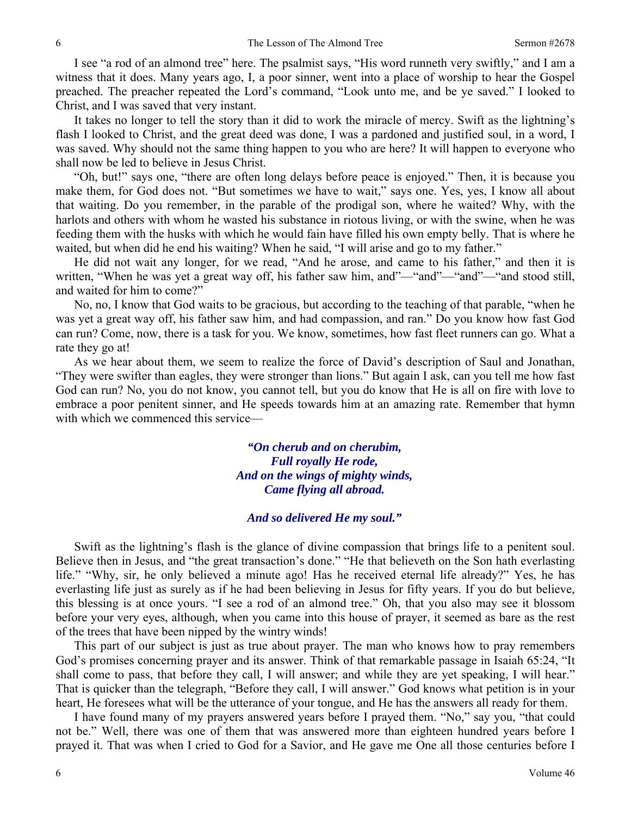I see "a rod of an almond tree" here. The psalmist says, "His word runneth very swiftly," and I am a witness that it does. Many years ago, I, a poor sinner, went into a place of worship to hear the Gospel preached. The preacher repeated the Lord's command, "Look unto me, and be ye saved." I looked to Christ, and I was saved that very instant.

It takes no longer to tell the story than it did to work the miracle of mercy. Swift as the lightning's flash I looked to Christ, and the great deed was done, I was a pardoned and justified soul, in a word, I was saved. Why should not the same thing happen to you who are here? It will happen to everyone who shall now be led to believe in Jesus Christ.

"Oh, but!" says one, "there are often long delays before peace is enjoyed." Then, it is because you make them, for God does not. "But sometimes we have to wait," says one. Yes, yes, I know all about that waiting. Do you remember, in the parable of the prodigal son, where he waited? Why, with the harlots and others with whom he wasted his substance in riotous living, or with the swine, when he was feeding them with the husks with which he would fain have filled his own empty belly. That is where he waited, but when did he end his waiting? When he said, "I will arise and go to my father."

He did not wait any longer, for we read, "And he arose, and came to his father," and then it is written, "When he was yet a great way off, his father saw him, and"—"and"—"and"—"and stood still, and waited for him to come?"

No, no, I know that God waits to be gracious, but according to the teaching of that parable, "when he was yet a great way off, his father saw him, and had compassion, and ran." Do you know how fast God can run? Come, now, there is a task for you. We know, sometimes, how fast fleet runners can go. What a rate they go at!

As we hear about them, we seem to realize the force of David's description of Saul and Jonathan, "They were swifter than eagles, they were stronger than lions." But again I ask, can you tell me how fast God can run? No, you do not know, you cannot tell, but you do know that He is all on fire with love to embrace a poor penitent sinner, and He speeds towards him at an amazing rate. Remember that hymn with which we commenced this service—

> *"On cherub and on cherubim, Full royally He rode, And on the wings of mighty winds, Came flying all abroad.*

### *And so delivered He my soul."*

Swift as the lightning's flash is the glance of divine compassion that brings life to a penitent soul. Believe then in Jesus, and "the great transaction's done." "He that believeth on the Son hath everlasting life." "Why, sir, he only believed a minute ago! Has he received eternal life already?" Yes, he has everlasting life just as surely as if he had been believing in Jesus for fifty years. If you do but believe, this blessing is at once yours. "I see a rod of an almond tree." Oh, that you also may see it blossom before your very eyes, although, when you came into this house of prayer, it seemed as bare as the rest of the trees that have been nipped by the wintry winds!

This part of our subject is just as true about prayer. The man who knows how to pray remembers God's promises concerning prayer and its answer. Think of that remarkable passage in Isaiah 65:24, "It shall come to pass, that before they call, I will answer; and while they are yet speaking, I will hear." That is quicker than the telegraph, "Before they call, I will answer." God knows what petition is in your heart, He foresees what will be the utterance of your tongue, and He has the answers all ready for them.

I have found many of my prayers answered years before I prayed them. "No," say you, "that could not be." Well, there was one of them that was answered more than eighteen hundred years before I prayed it. That was when I cried to God for a Savior, and He gave me One all those centuries before I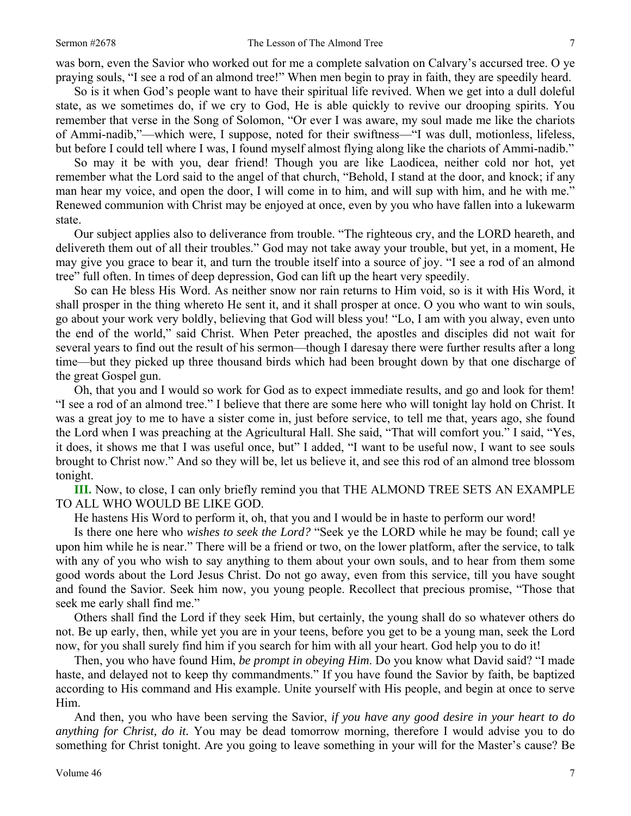was born, even the Savior who worked out for me a complete salvation on Calvary's accursed tree. O ye praying souls, "I see a rod of an almond tree!" When men begin to pray in faith, they are speedily heard.

So is it when God's people want to have their spiritual life revived. When we get into a dull doleful state, as we sometimes do, if we cry to God, He is able quickly to revive our drooping spirits. You remember that verse in the Song of Solomon, "Or ever I was aware, my soul made me like the chariots of Ammi-nadib,"—which were, I suppose, noted for their swiftness—"I was dull, motionless, lifeless, but before I could tell where I was, I found myself almost flying along like the chariots of Ammi-nadib."

So may it be with you, dear friend! Though you are like Laodicea, neither cold nor hot, yet remember what the Lord said to the angel of that church, "Behold, I stand at the door, and knock; if any man hear my voice, and open the door, I will come in to him, and will sup with him, and he with me." Renewed communion with Christ may be enjoyed at once, even by you who have fallen into a lukewarm state.

Our subject applies also to deliverance from trouble. "The righteous cry, and the LORD heareth, and delivereth them out of all their troubles." God may not take away your trouble, but yet, in a moment, He may give you grace to bear it, and turn the trouble itself into a source of joy. "I see a rod of an almond tree" full often. In times of deep depression, God can lift up the heart very speedily.

So can He bless His Word. As neither snow nor rain returns to Him void, so is it with His Word, it shall prosper in the thing whereto He sent it, and it shall prosper at once. O you who want to win souls, go about your work very boldly, believing that God will bless you! "Lo, I am with you alway, even unto the end of the world," said Christ. When Peter preached, the apostles and disciples did not wait for several years to find out the result of his sermon—though I daresay there were further results after a long time—but they picked up three thousand birds which had been brought down by that one discharge of the great Gospel gun.

Oh, that you and I would so work for God as to expect immediate results, and go and look for them! "I see a rod of an almond tree." I believe that there are some here who will tonight lay hold on Christ. It was a great joy to me to have a sister come in, just before service, to tell me that, years ago, she found the Lord when I was preaching at the Agricultural Hall. She said, "That will comfort you." I said, "Yes, it does, it shows me that I was useful once, but" I added, "I want to be useful now, I want to see souls brought to Christ now." And so they will be, let us believe it, and see this rod of an almond tree blossom tonight.

**III.** Now, to close, I can only briefly remind you that THE ALMOND TREE SETS AN EXAMPLE TO ALL WHO WOULD BE LIKE GOD.

He hastens His Word to perform it, oh, that you and I would be in haste to perform our word!

Is there one here who *wishes to seek the Lord?* "Seek ye the LORD while he may be found; call ye upon him while he is near." There will be a friend or two, on the lower platform, after the service, to talk with any of you who wish to say anything to them about your own souls, and to hear from them some good words about the Lord Jesus Christ. Do not go away, even from this service, till you have sought and found the Savior. Seek him now, you young people. Recollect that precious promise, "Those that seek me early shall find me."

Others shall find the Lord if they seek Him, but certainly, the young shall do so whatever others do not. Be up early, then, while yet you are in your teens, before you get to be a young man, seek the Lord now, for you shall surely find him if you search for him with all your heart. God help you to do it!

Then, you who have found Him, *be prompt in obeying Him*. Do you know what David said? "I made haste, and delayed not to keep thy commandments." If you have found the Savior by faith, be baptized according to His command and His example. Unite yourself with His people, and begin at once to serve Him.

And then, you who have been serving the Savior, *if you have any good desire in your heart to do anything for Christ, do it.* You may be dead tomorrow morning, therefore I would advise you to do something for Christ tonight. Are you going to leave something in your will for the Master's cause? Be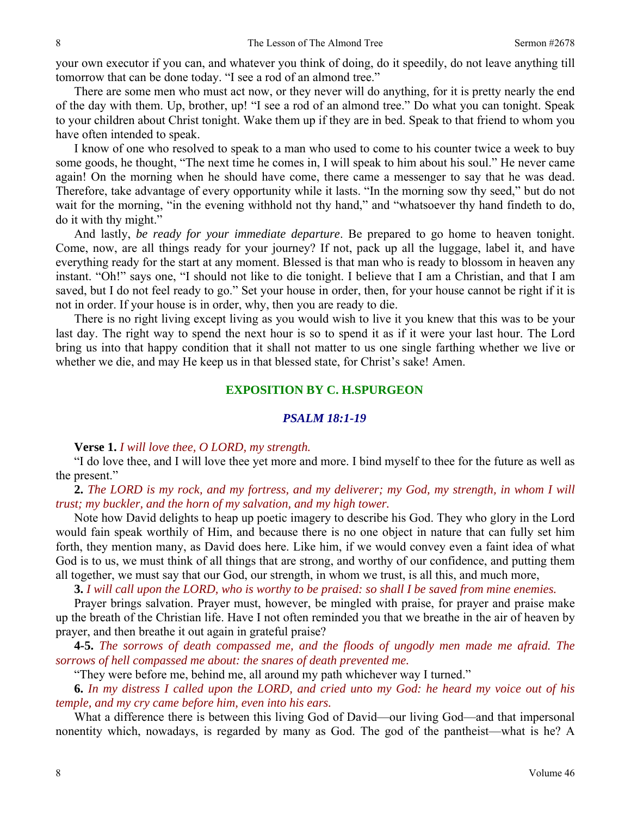your own executor if you can, and whatever you think of doing, do it speedily, do not leave anything till tomorrow that can be done today. "I see a rod of an almond tree."

There are some men who must act now, or they never will do anything, for it is pretty nearly the end of the day with them. Up, brother, up! "I see a rod of an almond tree." Do what you can tonight. Speak to your children about Christ tonight. Wake them up if they are in bed. Speak to that friend to whom you have often intended to speak.

I know of one who resolved to speak to a man who used to come to his counter twice a week to buy some goods, he thought, "The next time he comes in, I will speak to him about his soul." He never came again! On the morning when he should have come, there came a messenger to say that he was dead. Therefore, take advantage of every opportunity while it lasts. "In the morning sow thy seed," but do not wait for the morning, "in the evening withhold not thy hand," and "whatsoever thy hand findeth to do, do it with thy might."

And lastly, *be ready for your immediate departure*. Be prepared to go home to heaven tonight. Come, now, are all things ready for your journey? If not, pack up all the luggage, label it, and have everything ready for the start at any moment. Blessed is that man who is ready to blossom in heaven any instant. "Oh!" says one, "I should not like to die tonight. I believe that I am a Christian, and that I am saved, but I do not feel ready to go." Set your house in order, then, for your house cannot be right if it is not in order. If your house is in order, why, then you are ready to die.

There is no right living except living as you would wish to live it you knew that this was to be your last day. The right way to spend the next hour is so to spend it as if it were your last hour. The Lord bring us into that happy condition that it shall not matter to us one single farthing whether we live or whether we die, and may He keep us in that blessed state, for Christ's sake! Amen.

### **EXPOSITION BY C. H.SPURGEON**

#### *PSALM 18:1-19*

**Verse 1.** *I will love thee, O LORD, my strength.* 

"I do love thee, and I will love thee yet more and more. I bind myself to thee for the future as well as the present."

**2.** *The LORD is my rock, and my fortress, and my deliverer; my God, my strength, in whom I will trust; my buckler, and the horn of my salvation, and my high tower.*

Note how David delights to heap up poetic imagery to describe his God. They who glory in the Lord would fain speak worthily of Him, and because there is no one object in nature that can fully set him forth, they mention many, as David does here. Like him, if we would convey even a faint idea of what God is to us, we must think of all things that are strong, and worthy of our confidence, and putting them all together, we must say that our God, our strength, in whom we trust, is all this, and much more,

**3.** *I will call upon the LORD, who is worthy to be praised: so shall I be saved from mine enemies.* 

Prayer brings salvation. Prayer must, however, be mingled with praise, for prayer and praise make up the breath of the Christian life. Have I not often reminded you that we breathe in the air of heaven by prayer, and then breathe it out again in grateful praise?

**4-5.** *The sorrows of death compassed me, and the floods of ungodly men made me afraid. The sorrows of hell compassed me about: the snares of death prevented me.* 

"They were before me, behind me, all around my path whichever way I turned."

**6.** *In my distress I called upon the LORD, and cried unto my God: he heard my voice out of his temple, and my cry came before him, even into his ears.* 

What a difference there is between this living God of David—our living God—and that impersonal nonentity which, nowadays, is regarded by many as God. The god of the pantheist—what is he? A